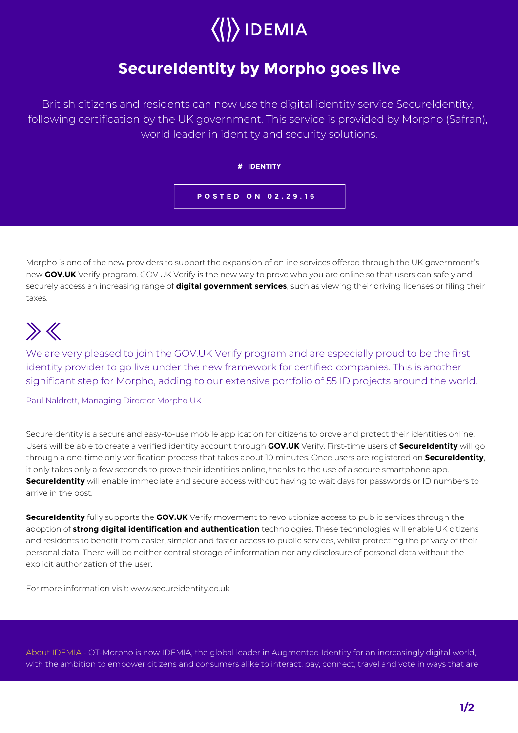## $\langle\langle\rangle\rangle$  IDEMIA

## **SecureIdentity by Morpho goes live**

British citizens and residents can now use the digital identity service SecureIdentity, following certification by the UK government. This service is provided by Morpho (Safran), world leader in identity and security solutions.



Morpho is one of the new providers to support the expansion of online services offered through the UK government's new **GOV.UK** Verify program. GOV.UK Verify is the new way to prove who you are online so that users can safely and securely access an increasing range of **digital government services**, such as viewing their driving licenses or filing their taxes.

## $\gg K$

We are very pleased to join the GOV.UK Verify program and are especially proud to be the first identity provider to go live under the new framework for certified companies. This is another significant step for Morpho, adding to our extensive portfolio of 55 ID projects around the world.

Paul Naldrett, Managing Director Morpho UK

SecureIdentity is a secure and easy-to-use mobile application for citizens to prove and protect their identities online. Users will be able to create a verified identity account through **GOV.UK** Verify. First-time users of **SecureIdentity** will go through a one-time only verification process that takes about 10 minutes. Once users are registered on **SecureIdentity**, it only takes only a few seconds to prove their identities online, thanks to the use of a secure smartphone app. **SecureIdentity** will enable immediate and secure access without having to wait days for passwords or ID numbers to arrive in the post.

**SecureIdentity** fully supports the **GOV.UK** Verify movement to revolutionize access to public services through the adoption of **strong digital identification and authentication** technologies. These technologies will enable UK citizens and residents to benefit from easier, simpler and faster access to public services, whilst protecting the privacy of their personal data. There will be neither central storage of information nor any disclosure of personal data without the explicit authorization of the user.

For more information visit: www.secureidentity.co.uk

About IDEMIA - OT-Morpho is now IDEMIA, the global leader in Augmented Identity for an increasingly digital world, with the ambition to empower citizens and consumers alike to interact, pay, connect, travel and vote in ways that are